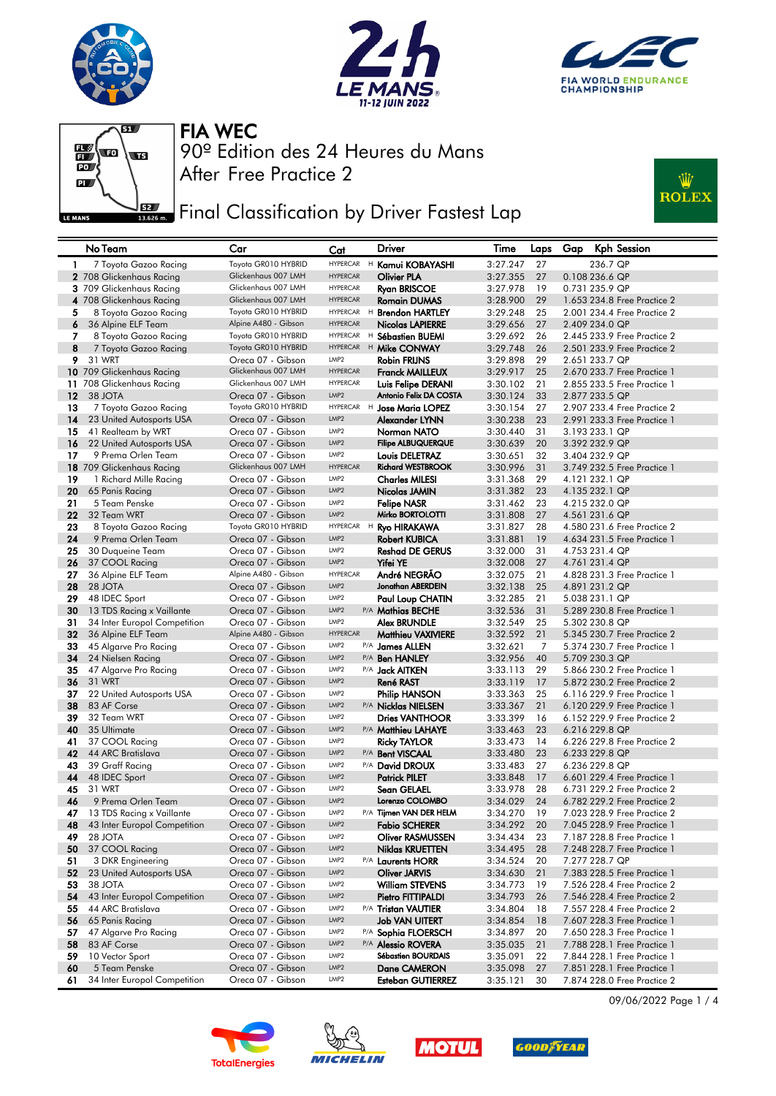







## **FEE** Final Classification by Driver Fastest Lap



|                 | No Team                                        | Car                                    | Cat                                 |   | Driver                                   | Time                 | Laps     | Gap | Kph Session                                                |
|-----------------|------------------------------------------------|----------------------------------------|-------------------------------------|---|------------------------------------------|----------------------|----------|-----|------------------------------------------------------------|
| $\mathbf{1}$    | 7 Toyota Gazoo Racing                          | Toyota GR010 HYBRID                    | <b>HYPERCAR</b>                     |   | <sup>H</sup> Kamui KOBAYASHI             | 3:27.247             | 27       |     | 236.7 QP                                                   |
|                 | 2 708 Glickenhaus Racing                       | Glickenhaus 007 LMH                    | <b>HYPERCAR</b>                     |   | <b>Olivier PLA</b>                       | 3:27.355             | 27       |     | 0.108 236.6 QP                                             |
|                 | 3 709 Glickenhaus Racing                       | Glickenhaus 007 LMH                    | <b>HYPERCAR</b>                     |   | <b>Ryan BRISCOE</b>                      | 3:27.978             | 19       |     | 0.731 235.9 QP                                             |
|                 | 4 708 Glickenhaus Racing                       | Glickenhaus 007 LMH                    | <b>HYPERCAR</b>                     |   | <b>Romain DUMAS</b>                      | 3:28.900             | 29       |     | 1.653 234.8 Free Practice 2                                |
| 5               | 8 Toyota Gazoo Racing                          | Toyota GR010 HYBRID                    | <b>HYPERCAR</b>                     | H | <b>Brendon HARTLEY</b>                   | 3:29.248             | 25       |     | 2.001 234.4 Free Practice 2                                |
| 6               | 36 Alpine ELF Team                             | Alpine A480 - Gibson                   | <b>HYPERCAR</b>                     |   | Nicolas LAPIERRE                         | 3:29.656             | 27       |     | 2.409 234.0 QP                                             |
| 7               | 8 Toyota Gazoo Racing                          | Toyota GR010 HYBRID                    | <b>HYPERCAR</b>                     |   | H Sébastien BUEMI                        | 3:29.692             | 26       |     | 2.445 233.9 Free Practice 2                                |
| 8               | 7 Toyota Gazoo Racing                          | Toyota GR010 HYBRID                    | <b>HYPERCAR</b>                     |   | <sup>H</sup> Mike CONWAY                 | 3:29.748             | 26       |     | 2.501 233.9 Free Practice 2                                |
| 9.              | 31 WRT                                         | Oreca 07 - Gibson                      | LMP <sub>2</sub>                    |   | Robin FRIJNS                             | 3:29.898             | 29       |     | 2.651 233.7 QP                                             |
|                 | 10 709 Glickenhaus Racing                      | Glickenhaus 007 LMH                    | <b>HYPERCAR</b>                     |   | <b>Franck MAILLEUX</b>                   | 3:29.917             | 25       |     | 2.670 233.7 Free Practice 1                                |
|                 | 11 708 Glickenhaus Racing                      | Glickenhaus 007 LMH                    | <b>HYPERCAR</b>                     |   | Luis Felipe DERANI                       | 3:30.102             | 21       |     | 2,855 233,5 Free Practice 1                                |
| 12 <sup>2</sup> | 38 JOTA                                        | Oreca 07 - Gibson                      | LMP <sub>2</sub>                    |   | Antonio Felix DA COSTA                   | 3:30.124             | 33       |     | 2.877 233.5 QP                                             |
| 13              | 7 Toyota Gazoo Racing                          | Toyota GR010 HYBRID                    | <b>HYPERCAR</b><br>LMP <sub>2</sub> |   | <sup>H</sup> Jose Maria LOPEZ            | 3:30.154             | 27       |     | 2.907 233.4 Free Practice 2<br>2.991 233.3 Free Practice 1 |
| 14<br>15        | 23 United Autosports USA                       | Oreca 07 - Gibson<br>Oreca 07 - Gibson | LMP <sub>2</sub>                    |   | Alexander LYNN                           | 3:30.238<br>3:30.440 | 23<br>31 |     | 3.193 233.1 QP                                             |
| 16              | 41 Realteam by WRT<br>22 United Autosports USA | Oreca 07 - Gibson                      | LMP <sub>2</sub>                    |   | Norman NATO<br><b>Filipe ALBUQUERQUE</b> | 3:30.639             | 20       |     | 3.392 232.9 QP                                             |
| 17              | 9 Prema Orlen Team                             | Oreca 07 - Gibson                      | LMP <sub>2</sub>                    |   | Louis DELETRAZ                           | 3:30.651             | 32       |     | 3.404 232.9 QP                                             |
|                 | 18 709 Glickenhaus Racing                      | Glickenhaus 007 LMH                    | <b>HYPERCAR</b>                     |   | <b>Richard WESTBROOK</b>                 | 3:30.996             | 31       |     | 3.749 232.5 Free Practice 1                                |
| 19              | 1 Richard Mille Racing                         | Oreca 07 - Gibson                      | LMP <sub>2</sub>                    |   | <b>Charles MILESI</b>                    | 3:31.368             | 29       |     | 4.121 232.1 QP                                             |
| 20              | 65 Panis Racing                                | Oreca 07 - Gibson                      | LMP <sub>2</sub>                    |   | Nicolas JAMIN                            | 3:31.382             | 23       |     | 4.135 232.1 QP                                             |
| 21              | 5 Team Penske                                  | Oreca 07 - Gibson                      | LMP <sub>2</sub>                    |   | <b>Felipe NASR</b>                       | 3:31.462             | 23       |     | 4.215 232.0 QP                                             |
| 22              | 32 Team WRT                                    | Oreca 07 - Gibson                      | LMP <sub>2</sub>                    |   | Mirko BORTOLOTTI                         | 3:31.808             | 27       |     | 4.561 231.6 QP                                             |
| 23              | 8 Toyota Gazoo Racing                          | Toyota GR010 HYBRID                    | <b>HYPERCAR</b>                     | H | <b>Ryo HIRAKAWA</b>                      | 3:31.827             | 28       |     | 4,580 231.6 Free Practice 2                                |
| 24              | 9 Prema Orlen Team                             | Oreca 07 - Gibson                      | LMP <sub>2</sub>                    |   | <b>Robert KUBICA</b>                     | 3:31.881             | 19       |     | 4.634 231.5 Free Practice 1                                |
| 25              | 30 Duqueine Team                               | Oreca 07 - Gibson                      | LMP <sub>2</sub>                    |   | <b>Reshad DE GERUS</b>                   | 3:32.000             | 31       |     | 4.753 231.4 QP                                             |
| 26              | 37 COOL Racing                                 | Oreca 07 - Gibson                      | LMP <sub>2</sub>                    |   | Yifei YE                                 | 3:32.008             | 27       |     | 4.761 231.4 QP                                             |
| 27              | 36 Alpine ELF Team                             | Alpine A480 - Gibson                   | <b>HYPERCAR</b>                     |   | André NEGRÃO                             | 3:32.075             | 21       |     | 4.828 231.3 Free Practice 1                                |
| 28              | 28 JOTA                                        | Oreca 07 - Gibson                      | LMP <sub>2</sub>                    |   | Jonathan ABERDEIN                        | 3:32.138             | 25       |     | 4.891 231.2 QP                                             |
| 29              | 48 IDEC Sport                                  | Oreca 07 - Gibson                      | LMP <sub>2</sub>                    |   | Paul Loup CHATIN                         | 3:32.285             | 21       |     | 5.038 231.1 QP                                             |
| 30              | 13 TDS Racing x Vaillante                      | Oreca 07 - Gibson                      | LMP <sub>2</sub>                    |   | P/A Mathias BECHE                        | 3:32.536             | 31       |     | 5.289 230.8 Free Practice 1                                |
| 31              | 34 Inter Europol Competition                   | Oreca 07 - Gibson                      | LMP <sub>2</sub>                    |   | Alex BRUNDLE                             | 3:32.549             | 25       |     | 5.302 230.8 QP                                             |
| 32              | 36 Alpine ELF Team                             | Alpine A480 - Gibson                   | <b>HYPERCAR</b>                     |   | <b>Matthieu VAXIVIERE</b>                | 3:32.592             | 21       |     | 5.345 230.7 Free Practice 2                                |
| 33              | 45 Algarve Pro Racing                          | Oreca 07 - Gibson                      | LMP2<br>LMP <sub>2</sub>            |   | P/A James ALLEN                          | 3:32.621             | 7        |     | 5.374 230.7 Free Practice 1                                |
| 34<br>35        | 24 Nielsen Racing<br>47 Algarve Pro Racing     | Oreca 07 - Gibson<br>Oreca 07 - Gibson | LMP <sub>2</sub>                    |   | P/A Ben HANLEY<br>P/A <b>Jack AITKEN</b> | 3:32.956<br>3:33.113 | 40<br>29 |     | 5.709 230.3 QP<br>5.866 230.2 Free Practice 1              |
| 36              | 31 WRT                                         | Oreca 07 - Gibson                      | LMP <sub>2</sub>                    |   | René RAST                                | 3:33.119             | 17       |     | 5.872 230.2 Free Practice 2                                |
| 37              | 22 United Autosports USA                       | Oreca 07 - Gibson                      | LMP <sub>2</sub>                    |   | <b>Philip HANSON</b>                     | 3:33.363             | 25       |     | 6.116 229.9 Free Practice 1                                |
| 38              | 83 AF Corse                                    | Oreca 07 - Gibson                      | LMP <sub>2</sub>                    |   | P/A Nicklas NIELSEN                      | 3:33.367             | 21       |     | 6.120 229.9 Free Practice 1                                |
| 39              | 32 Team WRT                                    | Oreca 07 - Gibson                      | LMP <sub>2</sub>                    |   | <b>Dries VANTHOOR</b>                    | 3:33.399             | 16       |     | 6.152 229.9 Free Practice 2                                |
| 40              | 35 Ultimate                                    | Oreca 07 - Gibson                      | LMP <sub>2</sub>                    |   | P/A Matthieu LAHAYE                      | 3:33.463             | 23       |     | 6.216 229.8 QP                                             |
| 41              | 37 COOL Racing                                 | Oreca 07 - Gibson                      | LMP <sub>2</sub>                    |   | <b>Ricky TAYLOR</b>                      | 3:33.473             | 14       |     | 6.226 229.8 Free Practice 2                                |
| 42              | 44 ARC Bratislava                              | Oreca 07 - Gibson                      | LMP <sub>2</sub>                    |   | P/A Bent VISCAAL                         | 3:33.480             | 23       |     | 6.233 229.8 QP                                             |
| 43              | 39 Graff Racing                                | Oreca 07 - Gibson                      | LMP <sub>2</sub>                    |   | P/A David DROUX                          | 3:33.483             | 27       |     | 6.236 229.8 QP                                             |
| 44              | 48 IDEC Sport                                  | Oreca 07 - Gibson                      | LMP <sub>2</sub>                    |   | <b>Patrick PILET</b>                     | 3:33.848             | 17       |     | 6.601 229.4 Free Practice 1                                |
| 45              | 31 WRT                                         | Oreca 07 - Gibson                      | LMP <sub>2</sub>                    |   | <b>Sean GELAEL</b>                       | 3:33.978             | 28       |     | 6.731 229.2 Free Practice 2                                |
| 46              | 9 Prema Orlen Team                             | Oreca 07 - Gibson                      | LMP <sub>2</sub>                    |   | Lorenzo COLOMBO                          | 3:34.029             | 24       |     | 6.782 229.2 Free Practice 2                                |
| 47              | 13 TDS Racing x Vaillante                      | Oreca 07 - Gibson                      | LMP2                                |   | P/A Tijmen VAN DER HELM                  | 3:34.270             | 19       |     | 7.023 228.9 Free Practice 2                                |
| 48              | 43 Inter Europol Competition                   | Oreca 07 - Gibson                      | LMP <sub>2</sub>                    |   | <b>Fabio SCHERER</b>                     | 3:34.292             | 20       |     | 7.045 228.9 Free Practice 1                                |
| 49              | 28 JOTA                                        | Oreca 07 - Gibson                      | LMP2                                |   | <b>Oliver RASMUSSEN</b>                  | 3:34.434             | 23       |     | 7.187 228.8 Free Practice 1                                |
| 50              | 37 COOL Racing                                 | Oreca 07 - Gibson                      | LMP <sub>2</sub>                    |   | <b>Niklas KRUETTEN</b>                   | 3:34.495             | 28       |     | 7.248 228.7 Free Practice 1                                |
| 51<br>52        | 3 DKR Engineering<br>23 United Autosports USA  | Oreca 07 - Gibson<br>Oreca 07 - Gibson | LMP2<br>LMP2                        |   | P/A Laurents HORR<br>Oliver JARVIS       | 3:34.524<br>3:34.630 | 20<br>21 |     | 7.277 228.7 QP<br>7.383 228.5 Free Practice 1              |
| 53              | 38 JOTA                                        | Oreca 07 - Gibson                      | LMP2                                |   | <b>William STEVENS</b>                   | 3:34.773             | 19       |     | 7.526 228.4 Free Practice 2                                |
| 54              | 43 Inter Europol Competition                   | Oreca 07 - Gibson                      | LMP <sub>2</sub>                    |   | Pietro FITTIPALDI                        | 3:34.793             | 26       |     | 7.546 228.4 Free Practice 2                                |
| 55              | 44 ARC Bratislava                              | Oreca 07 - Gibson                      | LMP2                                |   | P/A Tristan VAUTIER                      | 3:34.804             | 18       |     | 7.557 228.4 Free Practice 2                                |
| 56              | 65 Panis Racing                                | Oreca 07 - Gibson                      | LMP <sub>2</sub>                    |   | <b>Job VAN UITERT</b>                    | 3:34.854             | 18       |     | 7.607 228.3 Free Practice 1                                |
| 57              | 47 Algarve Pro Racing                          | Oreca 07 - Gibson                      | LMP2                                |   | P/A Sophia FLOERSCH                      | 3:34.897             | 20       |     | 7.650 228.3 Free Practice 1                                |
| 58              | 83 AF Corse                                    | Oreca 07 - Gibson                      | LMP <sub>2</sub>                    |   | P/A Alessio ROVERA                       | 3:35.035             | 21       |     | 7.788 228.1 Free Practice 1                                |
| 59              | 10 Vector Sport                                | Oreca 07 - Gibson                      | LMP2                                |   | Sébastien BOURDAIS                       | 3:35.091             | 22       |     | 7.844 228.1 Free Practice 1                                |
| 60              | 5 Team Penske                                  | Oreca 07 - Gibson                      | LMP2                                |   | Dane CAMERON                             | 3:35.098             | 27       |     | 7.851 228.1 Free Practice 1                                |
| 61              | 34 Inter Europol Competition                   | Oreca 07 - Gibson                      | LMP <sub>2</sub>                    |   | <b>Esteban GUTIERREZ</b>                 | 3:35.121             | 30       |     | 7.874 228.0 Free Practice 2                                |









09/06/2022 Page 1 / 4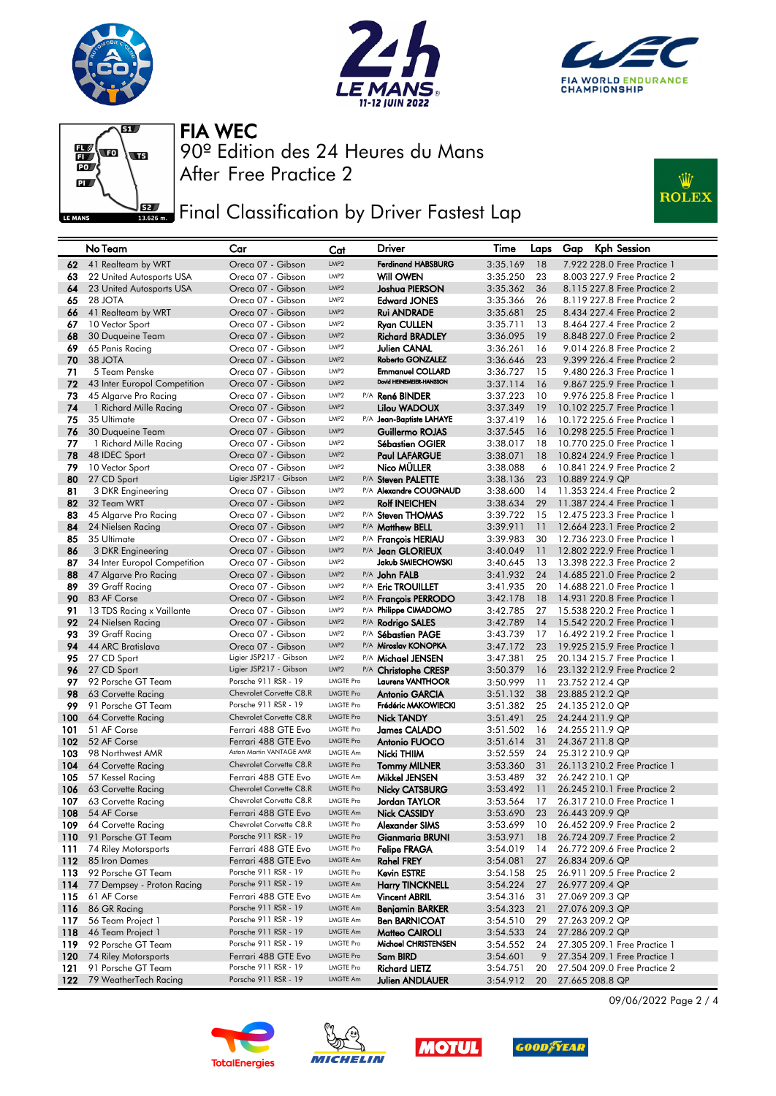







## **FEE** Final Classification by Driver Fastest Lap



|            | No Team                                | Car                                          | Cat                                  | <b>Driver</b>                              | Time                 | Laps     | <b>Kph Session</b><br>Gap                                    |
|------------|----------------------------------------|----------------------------------------------|--------------------------------------|--------------------------------------------|----------------------|----------|--------------------------------------------------------------|
| 62         | 41 Realteam by WRT                     | Oreca 07 - Gibson                            | LMP <sub>2</sub>                     | <b>Ferdinand HABSBURG</b>                  | 3:35.169             | 18       | 7.922 228.0 Free Practice 1                                  |
| 63         | 22 United Autosports USA               | Oreca 07 - Gibson                            | LMP <sub>2</sub>                     | Will OWEN                                  | 3:35.250             | 23       | 8.003 227.9 Free Practice 2                                  |
| 64         | 23 United Autosports USA               | Oreca 07 - Gibson                            | LMP <sub>2</sub>                     | Joshua PIERSON                             | 3:35.362             | 36       | 8.115 227.8 Free Practice 2                                  |
| 65         | 28 JOTA                                | Oreca 07 - Gibson                            | LMP <sub>2</sub>                     | <b>Edward JONES</b>                        | 3:35.366             | 26       | 8.119 227.8 Free Practice 2                                  |
| 66         | 41 Realteam by WRT                     | Oreca 07 - Gibson                            | LMP <sub>2</sub>                     | Rui ANDRADE                                | 3:35.681             | 25       | 8.434 227.4 Free Practice 2                                  |
| 67         | 10 Vector Sport                        | Oreca 07 - Gibson                            | LMP <sub>2</sub>                     | <b>Ryan CULLEN</b>                         | 3:35.711             | 13       | 8.464 227.4 Free Practice 2                                  |
| 68         | 30 Duqueine Team                       | Oreca 07 - Gibson                            | LMP <sub>2</sub>                     | Richard BRADLEY                            | 3:36.095             | 19       | 8.848 227.0 Free Practice 2                                  |
| 69         | 65 Panis Racing                        | Oreca 07 - Gibson                            | LMP <sub>2</sub>                     | Julien CANAL                               | 3:36.261             | 16       | 9.014 226.8 Free Practice 2                                  |
| 70         | 38 JOTA                                | Oreca 07 - Gibson                            | LMP <sub>2</sub>                     | <b>Roberto GONZALEZ</b>                    | 3:36.646             | 23       | 9.399 226.4 Free Practice 2                                  |
| 71         | 5 Team Penske                          | Oreca 07 - Gibson                            | LMP <sub>2</sub>                     | <b>Emmanuel COLLARD</b>                    | 3:36.727             | 15       | 9.480 226.3 Free Practice 1                                  |
| 72         | 43 Inter Europol Competition           | Oreca 07 - Gibson                            | LMP <sub>2</sub>                     | David HEINEMEIER-HANSSON                   | 3:37.114             | 16       | 9.867 225.9 Free Practice 1                                  |
| 73         | 45 Algarve Pro Racing                  | Oreca 07 - Gibson                            | LMP <sub>2</sub>                     | P/A René BINDER                            | 3:37.223             | 10       | 9.976 225.8 Free Practice 1                                  |
| 74         | 1 Richard Mille Racing                 | Oreca 07 - Gibson                            | LMP <sub>2</sub>                     | Lilou WADOUX                               | 3:37.349             | 19       | 10.102 225.7 Free Practice 1                                 |
| 75         | 35 Ultimate                            | Oreca 07 - Gibson                            | LMP <sub>2</sub>                     | P/A Jean-Baptiste LAHAYE                   | 3:37.419             | 16       | 10.172 225.6 Free Practice 1                                 |
| 76         | 30 Duqueine Team                       | Oreca 07 - Gibson                            | LMP <sub>2</sub>                     | Guillermo ROJAS                            | 3:37.545             | 16       | 10.298 225.5 Free Practice 1                                 |
| 77         | 1 Richard Mille Racing                 | Oreca 07 - Gibson                            | LMP <sub>2</sub>                     | Sébastien OGIER                            | 3:38.017             | 18       | 10.770 225.0 Free Practice 1                                 |
| 78         | 48 IDEC Sport                          | Oreca 07 - Gibson                            | LMP <sub>2</sub>                     | <b>Paul LAFARGUE</b>                       | 3:38.071             | 18       | 10.824 224.9 Free Practice 1                                 |
| 79         | 10 Vector Sport                        | Oreca 07 - Gibson                            | LMP <sub>2</sub>                     | Nico MÜLLER                                | 3:38.088             | 6        | 10.841 224.9 Free Practice 2                                 |
| 80         | 27 CD Sport                            | Ligier JSP217 - Gibson                       | LMP <sub>2</sub>                     | P/A Steven PALETTE                         | 3:38.136             | 23       | 10.889 224.9 QP                                              |
| 81         | 3 DKR Engineering                      | Oreca 07 - Gibson                            | LMP <sub>2</sub>                     | P/A Alexandre COUGNAUD                     | 3:38.600             | 14       | 11.353 224.4 Free Practice 2                                 |
| 82         | 32 Team WRT                            | Oreca 07 - Gibson                            | LMP <sub>2</sub>                     | <b>Rolf INEICHEN</b>                       | 3:38.634             | 29       | 11.387 224.4 Free Practice 1                                 |
| 83         | 45 Algarve Pro Racing                  | Oreca 07 - Gibson                            | LMP2                                 | P/A Steven THOMAS                          | 3:39.722             | 15       | 12,475 223,3 Free Practice 1                                 |
| 84         | 24 Nielsen Racing                      | Oreca 07 - Gibson                            | LMP <sub>2</sub>                     | P/A Matthew BELL                           | 3:39.911             | 11       | 12.664 223.1 Free Practice 2                                 |
| 85         | 35 Ultimate                            | Oreca 07 - Gibson                            | LMP <sub>2</sub>                     | P/A Francois HERIAU                        | 3:39.983             | 30       | 12,736 223.0 Free Practice 1                                 |
| 86         | 3 DKR Engineering                      | Oreca 07 - Gibson                            | LMP <sub>2</sub>                     | P/A Jean GLORIEUX<br>Jakub SMIECHOWSKI     | 3:40.049             | 11       | 12.802 222.9 Free Practice 1                                 |
| 87         | 34 Inter Europol Competition           | Oreca 07 - Gibson                            | LMP <sub>2</sub><br>LMP <sub>2</sub> |                                            | 3:40.645             | 13       | 13.398 222.3 Free Practice 2                                 |
| 88         | 47 Algarve Pro Racing                  | Oreca 07 - Gibson                            | LMP <sub>2</sub>                     | P/A John FALB                              | 3:41.932             | 24       | 14.685 221.0 Free Practice 2                                 |
| 89<br>90   | 39 Graff Racing<br>83 AF Corse         | Oreca 07 - Gibson<br>Oreca 07 - Gibson       | LMP <sub>2</sub>                     | P/A Eric TROUILLET<br>P/A François PERRODO | 3:41.935<br>3:42.178 | 20<br>18 | 14,688 221,0 Free Practice 1<br>14.931 220.8 Free Practice 1 |
| 91         | 13 TDS Racing x Vaillante              | Oreca 07 - Gibson                            | LMP <sub>2</sub>                     | P/A Philippe CIMADOMO                      | 3:42.785             | 27       | 15,538 220.2 Free Practice 1                                 |
| 92         | 24 Nielsen Racing                      | Oreca 07 - Gibson                            | LMP <sub>2</sub>                     | P/A Rodrigo SALES                          | 3:42.789             | 14       | 15.542 220.2 Free Practice 1                                 |
| 93         | 39 Graff Racing                        | Oreca 07 - Gibson                            | LMP <sub>2</sub>                     | P/A Sébastien PAGE                         | 3:43.739             | 17       | 16,492 219,2 Free Practice 1                                 |
| 94         | 44 ARC Bratislava                      | Oreca 07 - Gibson                            | LMP <sub>2</sub>                     | P/A Miroslav KONOPKA                       | 3:47.172             | 23       | 19.925 215.9 Free Practice 1                                 |
| 95         | 27 CD Sport                            | Ligier JSP217 - Gibson                       | LMP <sub>2</sub>                     | P/A Michael JENSEN                         | 3:47.381             | 25       | 20.134 215.7 Free Practice 1                                 |
| 96         | 27 CD Sport                            | Ligier JSP217 - Gibson                       | LMP <sub>2</sub>                     | P/A Christophe CRESP                       | 3:50.379             | 16       | 23.132 212.9 Free Practice 2                                 |
| 97         | 92 Porsche GT Team                     | Porsche 911 RSR - 19                         | <b>LMGTE Pro</b>                     | <b>Laurens VANTHOOR</b>                    | 3:50.999             | 11       | 23.752 212.4 QP                                              |
| 98         | 63 Corvette Racing                     | Chevrolet Corvette C8.R                      | <b>LMGTE Pro</b>                     | <b>Antonio GARCIA</b>                      | 3:51.132             | 38       | 23.885 212.2 QP                                              |
| 99         | 91 Porsche GT Team                     | Porsche 911 RSR - 19                         | <b>LMGTE Pro</b>                     | Frédéric MAKOWIECKI                        | 3:51.382             | 25       | 24.135 212.0 QP                                              |
| 100        | 64 Corvette Racing                     | Chevrolet Corvette C8.R                      | <b>LMGTE Pro</b>                     | <b>Nick TANDY</b>                          | 3:51.491             | 25       | 24.244 211.9 QP                                              |
| 101        | 51 AF Corse                            | Ferrari 488 GTE Evo                          | <b>LMGTE Pro</b>                     | James CALADO                               | 3:51.502             | 16       | 24.255 211.9 QP                                              |
| 102        | 52 AF Corse                            | Ferrari 488 GTE Evo                          | <b>LMGTE Pro</b>                     | Antonio FUOCO                              | 3:51.614             | 31       | 24.367 211.8 QP                                              |
| 103        | 98 Northwest AMR                       | Aston Martin VANTAGE AMR                     | <b>LMGTE Am</b>                      | Nicki THIIM                                | 3:52.559             | 24       | 25.312 210.9 QP                                              |
| 104        | 64 Corvette Racing                     | Chevrolet Corvette C8.R                      | <b>LMGTE Pro</b>                     | <b>Tommy MILNER</b>                        | 3:53.360             | 31       | 26.113 210.2 Free Practice 1                                 |
| 105        | 57 Kessel Racing                       | Ferrari 488 GTE Evo                          | <b>LMGTE Am</b>                      | Mikkel JENSEN                              | 3:53.489             | 32       | 26.242 210.1 QP                                              |
| 106        | 63 Corvette Racing                     | Chevrolet Corvette C8.R                      | <b>LMGTE Pro</b>                     | <b>Nicky CATSBURG</b>                      | 3:53.492             | 11       | 26.245 210.1 Free Practice 2                                 |
| 107        | 63 Corvette Racing                     | Chevrolet Corvette C8.R                      | <b>LMGTE Pro</b>                     | Jordan TAYLOR                              | 3:53.564             | 17       | 26.317 210.0 Free Practice 1                                 |
| 108        | 54 AF Corse                            | Ferrari 488 GTE Evo                          | LMGTE Am                             | <b>Nick CASSIDY</b>                        | 3:53.690             | 23       | 26.443 209.9 QP                                              |
| 109        | 64 Corvette Racing                     | Chevrolet Corvette C8.R                      | <b>LMGTE Pro</b>                     | Alexander SIMS                             | 3:53.699             | 10       | 26.452 209.9 Free Practice 2                                 |
| 110        | 91 Porsche GT Team                     | Porsche 911 RSR - 19                         | <b>LMGTE Pro</b>                     | <b>Gianmaria BRUNI</b>                     | 3:53.971             | 18       | 26.724 209.7 Free Practice 2                                 |
| 111        | 74 Riley Motorsports                   | Ferrari 488 GTE Evo                          | <b>LMGTE Pro</b>                     | <b>Felipe FRAGA</b>                        | 3:54.019             | 14       | 26.772 209.6 Free Practice 2                                 |
| 112        | 85 Iron Dames                          | Ferrari 488 GTE Evo                          | LMGTE Am                             | <b>Rahel FREY</b>                          | 3:54.081             | 27       | 26.834 209.6 QP                                              |
| 113        | 92 Porsche GT Team                     | Porsche 911 RSR - 19<br>Porsche 911 RSR - 19 | <b>LMGTE Pro</b>                     | Kevin ESTRE                                | 3:54.158             | 25       | 26.911 209.5 Free Practice 2                                 |
| 114        | 77 Dempsey - Proton Racing             |                                              | LMGTE Am                             | <b>Harry TINCKNELL</b>                     | 3:54.224             | 27       | 26.977 209.4 QP                                              |
| 115        | 61 AF Corse<br>86 GR Racing            | Ferrari 488 GTE Evo<br>Porsche 911 RSR - 19  | <b>LMGTE Am</b><br><b>LMGTE Am</b>   | <b>Vincent ABRIL</b>                       | 3:54.316             | 31       | 27.069 209.3 QP                                              |
| 116        |                                        | Porsche 911 RSR - 19                         | <b>LMGTE Am</b>                      | <b>Benjamin BARKER</b>                     | 3:54.323             | 21       | 27.076 209.3 QP<br>27.263 209.2 QP                           |
| 117<br>118 | 56 Team Project 1<br>46 Team Project 1 | Porsche 911 RSR - 19                         | LMGTE Am                             | <b>Ben BARNICOAT</b><br>Matteo CAIROLI     | 3:54.510<br>3:54.533 | 29<br>24 | 27.286 209.2 QP                                              |
| 119        | 92 Porsche GT Team                     | Porsche 911 RSR - 19                         | <b>LMGTE Pro</b>                     | Michael CHRISTENSEN                        | 3:54.552             | 24       | 27.305 209.1 Free Practice 1                                 |
| 120        | 74 Riley Motorsports                   | Ferrari 488 GTE Evo                          | <b>LMGTE Pro</b>                     | Sam BIRD                                   | 3:54.601             | 9        | 27.354 209.1 Free Practice 1                                 |
| 121        | 91 Porsche GT Team                     | Porsche 911 RSR - 19                         | <b>LMGTE Pro</b>                     | <b>Richard LIETZ</b>                       | 3:54.751             | 20       | 27.504 209.0 Free Practice 2                                 |
| 122        | 79 WeatherTech Racing                  | Porsche 911 RSR - 19                         | LMGTE Am                             | <b>Julien ANDLAUER</b>                     | 3:54.912             | 20       | 27.665 208.8 QP                                              |
|            |                                        |                                              |                                      |                                            |                      |          |                                                              |









09/06/2022 Page 2 / 4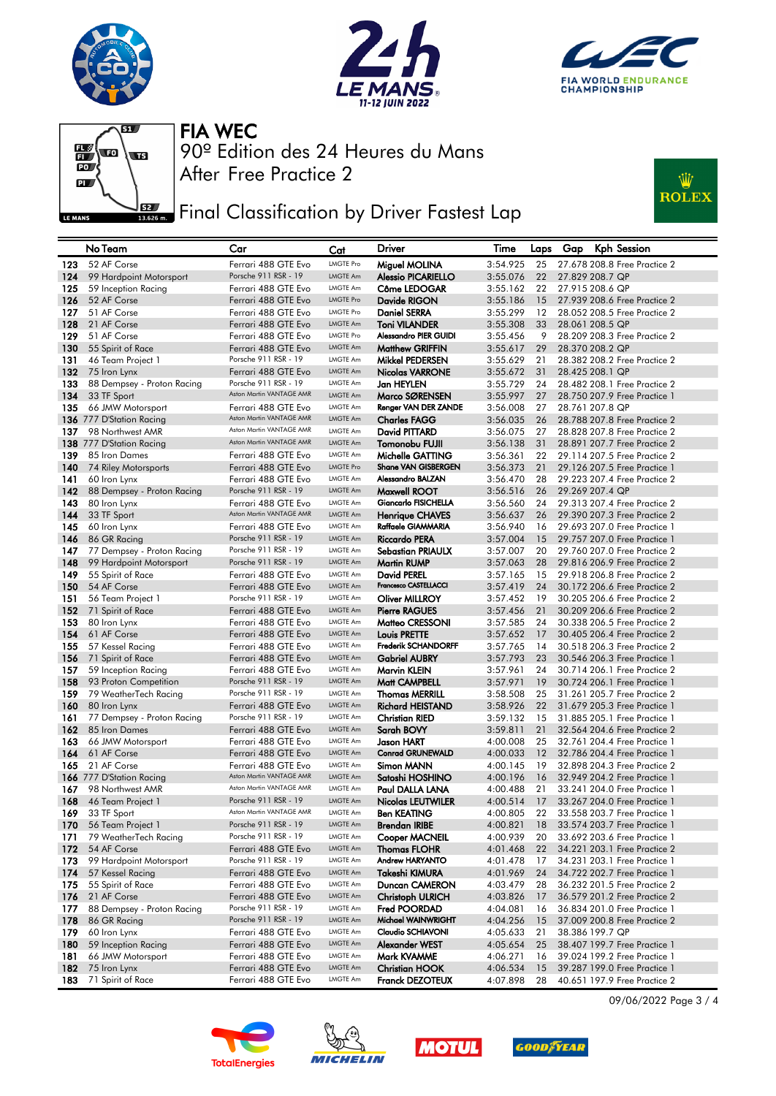







## **FEE** Final Classification by Driver Fastest Lap



|            | No Team                                       | Car                                         | Cat                  | Driver                              | Time                 | Laps     | <b>Kph Session</b><br>Gap                                    |
|------------|-----------------------------------------------|---------------------------------------------|----------------------|-------------------------------------|----------------------|----------|--------------------------------------------------------------|
| 123        | 52 AF Corse                                   | Ferrari 488 GTE Evo                         | <b>LMGTE Pro</b>     | Miguel MOLINA                       | 3:54.925             | 25       | 27.678 208.8 Free Practice 2                                 |
| 124        | 99 Hardpoint Motorsport                       | Porsche 911 RSR - 19                        | <b>LMGTE Am</b>      | <b>Alessio PICARIELLO</b>           | 3:55.076             | 22       | 27.829 208.7 QP                                              |
| 125        | 59 Inception Racing                           | Ferrari 488 GTE Evo                         | <b>LMGTE Am</b>      | Côme LEDOGAR                        | 3:55.162             | 22       | 27.915 208.6 QP                                              |
| 126        | 52 AF Corse                                   | Ferrari 488 GTE Evo                         | <b>LMGTE Pro</b>     | Davide RIGON                        | 3:55.186             | 15       | 27.939 208.6 Free Practice 2                                 |
| 127        | 51 AF Corse                                   | Ferrari 488 GTE Evo                         | <b>LMGTE Pro</b>     | <b>Daniel SERRA</b>                 | 3:55.299             | 12       | 28,052 208,5 Free Practice 2                                 |
| 128        | 21 AF Corse                                   | Ferrari 488 GTE Evo                         | LMGTE Am             | <b>Toni VILANDER</b>                | 3:55.308             | 33       | 28.061 208.5 QP                                              |
| 129        | 51 AF Corse                                   | Ferrari 488 GTE Evo                         | <b>LMGTE Pro</b>     | <b>Alessandro PIER GUIDI</b>        | 3:55.456             | 9        | 28,209 208,3 Free Practice 2                                 |
| 130        | 55 Spirit of Race                             | Ferrari 488 GTE Evo                         | LMGTE Am             | <b>Matthew GRIFFIN</b>              | 3:55.617             | 29       | 28.370 208.2 QP                                              |
| 131        | 46 Team Project 1                             | Porsche 911 RSR - 19                        | LMGTE Am             | Mikkel PEDERSEN                     | 3:55.629             | 21       | 28,382 208,2 Free Practice 2                                 |
| 132        | 75 Iron Lynx                                  | Ferrari 488 GTE Evo<br>Porsche 911 RSR - 19 | LMGTE Am<br>LMGTE Am | <b>Nicolas VARRONE</b>              | 3:55.672             | 31       | 28.425 208.1 QP                                              |
| 133        | 88 Dempsey - Proton Racing                    | Aston Martin VANTAGE AMR                    | <b>LMGTE Am</b>      | Jan HEYLEN<br>Marco SØRENSEN        | 3:55.729             | 24       | 28,482 208,1 Free Practice 2                                 |
| 134        | 33 TF Sport                                   | Ferrari 488 GTE Evo                         | LMGTE Am             | Renger VAN DER ZANDE                | 3:55.997<br>3:56.008 | 27<br>27 | 28,750 207.9 Free Practice 1<br>28.761 207.8 QP              |
| 135        | 66 JMW Motorsport<br>136 777 D'Station Racing | Aston Martin VANTAGE AMR                    | LMGTE Am             | <b>Charles FAGG</b>                 | 3:56.035             | 26       | 28.788 207.8 Free Practice 2                                 |
| 137        | 98 Northwest AMR                              | Aston Martin VANTAGE AMR                    | LMGTE Am             | David PITTARD                       | 3:56.075             | 27       | 28,828 207,8 Free Practice 2                                 |
|            | 138 777 D'Station Racing                      | Aston Martin VANTAGE AMR                    | LMGTE Am             | Tomonobu FUJII                      | 3:56.138             | 31       | 28.891 207.7 Free Practice 2                                 |
| 139        | 85 Iron Dames                                 | Ferrari 488 GTE Evo                         | LMGTE Am             | Michelle GATTING                    | 3:56.361             | 22       | 29.114 207.5 Free Practice 2                                 |
| 140        | 74 Riley Motorsports                          | Ferrari 488 GTE Evo                         | <b>LMGTE Pro</b>     | <b>Shane VAN GISBERGEN</b>          | 3:56.373             | 21       | 29.126 207.5 Free Practice 1                                 |
| 141        | 60 Iron Lynx                                  | Ferrari 488 GTE Evo                         | LMGTE Am             | Alessandro BALZAN                   | 3:56.470             | 28       | 29.223 207.4 Free Practice 2                                 |
| 142        | 88 Dempsey - Proton Racing                    | Porsche 911 RSR - 19                        | <b>LMGTE Am</b>      | Maxwell ROOT                        | 3:56.516             | 26       | 29.269 207.4 QP                                              |
| 143        | 80 Iron Lynx                                  | Ferrari 488 GTE Evo                         | LMGTE Am             | <b>Giancarlo FISICHELLA</b>         | 3:56.560             | 24       | 29.313 207.4 Free Practice 2                                 |
| 144        | 33 TF Sport                                   | Aston Martin VANTAGE AMR                    | <b>LMGTE Am</b>      | <b>Henrique CHAVES</b>              | 3:56.637             | 26       | 29.390 207.3 Free Practice 2                                 |
| 145        | 60 Iron Lynx                                  | Ferrari 488 GTE Evo                         | LMGTE Am             | Raffaele GIAMMARIA                  | 3:56.940             | 16       | 29.693 207.0 Free Practice 1                                 |
| 146        | 86 GR Racing                                  | Porsche 911 RSR - 19                        | <b>LMGTE Am</b>      | <b>Riccardo PERA</b>                | 3:57.004             | 15       | 29.757 207.0 Free Practice 1                                 |
| 147        | 77 Dempsey - Proton Racing                    | Porsche 911 RSR - 19                        | <b>LMGTE Am</b>      | <b>Sebastian PRIAULX</b>            | 3:57.007             | 20       | 29.760 207.0 Free Practice 2                                 |
| 148        | 99 Hardpoint Motorsport                       | Porsche 911 RSR - 19                        | LMGTE Am             | <b>Martin RUMP</b>                  | 3:57.063             | 28       | 29.816 206.9 Free Practice 2                                 |
| 149        | 55 Spirit of Race                             | Ferrari 488 GTE Evo                         | LMGTE Am             | <b>David PEREL</b>                  | 3:57.165             | 15       | 29.918 206.8 Free Practice 2                                 |
| 150        | 54 AF Corse                                   | Ferrari 488 GTE Evo                         | <b>LMGTE Am</b>      | Francesco CASTELLACCI               | 3:57.419             | 24       | 30.172 206.6 Free Practice 2                                 |
| 151        | 56 Team Project 1                             | Porsche 911 RSR - 19                        | LMGTE Am             | <b>Oliver MILLROY</b>               | 3:57.452             | 19       | 30.205 206.6 Free Practice 2                                 |
| 152        | 71 Spirit of Race                             | Ferrari 488 GTE Evo                         | LMGTE Am             | <b>Pierre RAGUES</b>                | 3:57.456             | 21       | 30.209 206.6 Free Practice 2                                 |
| 153        | 80 Iron Lynx                                  | Ferrari 488 GTE Evo                         | LMGTE Am             | Matteo CRESSONI                     | 3:57.585             | 24       | 30,338 206.5 Free Practice 2                                 |
| 154        | 61 AF Corse                                   | Ferrari 488 GTE Evo                         | <b>LMGTE Am</b>      | <b>Louis PRETTE</b>                 | 3:57.652             | 17       | 30.405 206.4 Free Practice 2                                 |
| 155        | 57 Kessel Racing                              | Ferrari 488 GTE Evo                         | LMGTE Am             | Frederik SCHANDORFF                 | 3:57.765             | 14       | 30.518 206.3 Free Practice 2                                 |
| 156        | 71 Spirit of Race                             | Ferrari 488 GTE Evo                         | LMGTE Am             | <b>Gabriel AUBRY</b>                | 3:57.793             | 23       | 30.546 206.3 Free Practice 1                                 |
| 157        | 59 Inception Racing                           | Ferrari 488 GTE Evo                         | LMGTE Am             | Marvin KLEIN                        | 3:57.961             | 24       | 30.714 206.1 Free Practice 2                                 |
| 158        | 93 Proton Competition                         | Porsche 911 RSR - 19                        | LMGTE Am             | Matt CAMPBELL                       | 3:57.971             | 19       | 30.724 206.1 Free Practice 1                                 |
| 159        | 79 WeatherTech Racing                         | Porsche 911 RSR - 19                        | LMGTE Am             | <b>Thomas MERRILL</b>               | 3:58.508             | 25       | 31,261 205,7 Free Practice 2                                 |
| 160        | 80 Iron Lynx                                  | Ferrari 488 GTE Evo<br>Porsche 911 RSR - 19 | LMGTE Am<br>LMGTE Am | <b>Richard HEISTAND</b>             | 3:58.926             | 22       | 31.679 205.3 Free Practice 1                                 |
| 161<br>162 | 77 Dempsey - Proton Racing                    | Ferrari 488 GTE Evo                         | <b>LMGTE Am</b>      | <b>Christian RIED</b><br>Sarah BOVY | 3:59.132<br>3:59.811 | 15<br>21 | 31,885 205,1 Free Practice 1<br>32.564 204.6 Free Practice 2 |
| 163        | 85 Iron Dames<br>66 JMW Motorsport            | Ferrari 488 GTE Evo                         | LMGTE Am             | Jason HART                          | 4:00.008             | 25       | 32.761 204.4 Free Practice 1                                 |
| 164        | 61 AF Corse                                   | Ferrari 488 GTE Evo                         | <b>LMGTE Am</b>      | <b>Conrad GRUNEWALD</b>             | 4:00.033             | 12       | 32.786 204.4 Free Practice 1                                 |
| 165        | 21 AF Corse                                   | Ferrari 488 GTE Evo                         | LMGTE Am             | Simon MANN                          | 4:00.145             | 19       | 32.898 204.3 Free Practice 2                                 |
|            | 166 777 D'Station Racing                      | Aston Martin VANTAGE AMR                    | LMGTE Am             | Satoshi HOSHINO                     | 4:00.196             | 16       | 32.949 204.2 Free Practice 1                                 |
| 167        | 98 Northwest AMR                              | Aston Martin VANTAGE AMR                    | <b>LMGTE Am</b>      | Paul DALLA LANA                     | 4:00.488             | 21       | 33.241 204.0 Free Practice 1                                 |
| 168        | 46 Team Project 1                             | Porsche 911 RSR - 19                        | LMGTE Am             | <b>Nicolas LEUTWILER</b>            | 4:00.514             | 17       | 33.267 204.0 Free Practice 1                                 |
| 169        | 33 TF Sport                                   | Aston Martin VANTAGE AMR                    | <b>LMGTE Am</b>      | <b>Ben KEATING</b>                  | 4:00.805             | 22       | 33,558 203,7 Free Practice 1                                 |
| 170        | 56 Team Project 1                             | Porsche 911 RSR - 19                        | LMGTE Am             | <b>Brendan IRIBE</b>                | 4:00.821             | 18       | 33.574 203.7 Free Practice 1                                 |
| 171        | 79 WeatherTech Racing                         | Porsche 911 RSR - 19                        | <b>LMGTE Am</b>      | <b>Cooper MACNEIL</b>               | 4:00.939             | 20       | 33.692 203.6 Free Practice 1                                 |
| 172        | 54 AF Corse                                   | Ferrari 488 GTE Evo                         | LMGTE Am             | <b>Thomas FLOHR</b>                 | 4:01.468             | 22       | 34.221 203.1 Free Practice 2                                 |
| 173        | 99 Hardpoint Motorsport                       | Porsche 911 RSR - 19                        | LMGTE Am             | Andrew HARYANTO                     | 4:01.478             | 17       | 34.231 203.1 Free Practice 1                                 |
| 174        | 57 Kessel Racing                              | Ferrari 488 GTE Evo                         | LMGTE Am             | Takeshi KIMURA                      | 4:01.969             | 24       | 34.722 202.7 Free Practice 1                                 |
| 175        | 55 Spirit of Race                             | Ferrari 488 GTE Evo                         | LMGTE Am             | Duncan CAMERON                      | 4:03.479             | 28       | 36.232 201.5 Free Practice 2                                 |
| 176        | 21 AF Corse                                   | Ferrari 488 GTE Evo                         | LMGTE Am             | <b>Christoph ULRICH</b>             | 4:03.826             | 17       | 36.579 201.2 Free Practice 2                                 |
| 177        | 88 Dempsey - Proton Racing                    | Porsche 911 RSR - 19                        | LMGTE Am             | Fred POORDAD                        | 4:04.081             | 16       | 36.834 201.0 Free Practice 1                                 |
| 178        | 86 GR Racing                                  | Porsche 911 RSR - 19                        | LMGTE Am             | Michael WAINWRIGHT                  | 4:04.256             | 15       | 37.009 200.8 Free Practice 2                                 |
| 179        | 60 Iron Lynx                                  | Ferrari 488 GTE Evo                         | LMGTE Am             | Claudio SCHIAVONI                   | 4:05.633             | 21       | 38.386 199.7 QP                                              |
| 180        | 59 Inception Racing                           | Ferrari 488 GTE Evo                         | LMGTE Am             | Alexander WEST                      | 4:05.654             | 25       | 38.407 199.7 Free Practice 1                                 |
| 181        | 66 JMW Motorsport                             | Ferrari 488 GTE Evo                         | LMGTE Am             | Mark KVAMME                         | 4:06.271             | 16       | 39.024 199.2 Free Practice 1                                 |
| 182        | 75 Iron Lynx                                  | Ferrari 488 GTE Evo                         | <b>LMGTE Am</b>      | <b>Christian HOOK</b>               | 4:06.534             | 15       | 39.287 199.0 Free Practice 1                                 |
| 183        | 71 Spirit of Race                             | Ferrari 488 GTE Evo                         | LMGTE Am             | <b>Franck DEZOTEUX</b>              | 4:07.898             | 28       | 40.651 197.9 Free Practice 2                                 |









09/06/2022 Page 3 / 4